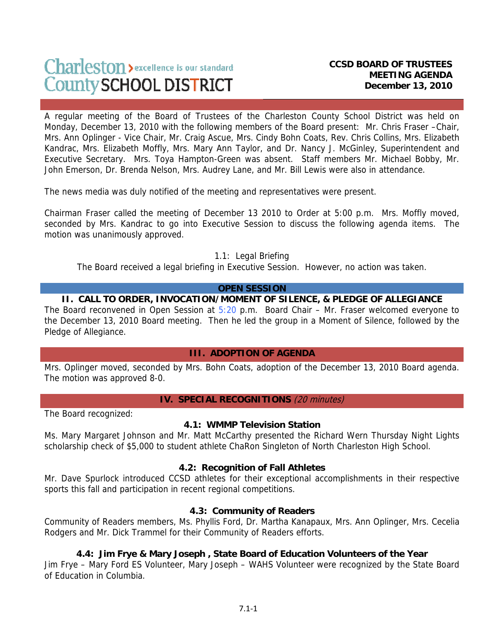# Charleston > excellence is our standard County SCHOOL DISTRICT

A regular meeting of the Board of Trustees of the Charleston County School District was held on Monday, December 13, 2010 with the following members of the Board present: Mr. Chris Fraser –Chair, Mrs. Ann Oplinger - Vice Chair, Mr. Craig Ascue, Mrs. Cindy Bohn Coats, Rev. Chris Collins, Mrs. Elizabeth Kandrac, Mrs. Elizabeth Moffly, Mrs. Mary Ann Taylor, and Dr. Nancy J. McGinley, Superintendent and Executive Secretary. Mrs. Toya Hampton-Green was absent. Staff members Mr. Michael Bobby, Mr. John Emerson, Dr. Brenda Nelson, Mrs. Audrey Lane, and Mr. Bill Lewis were also in attendance.

The news media was duly notified of the meeting and representatives were present.

Chairman Fraser called the meeting of December 13 2010 to Order at 5:00 p.m. Mrs. Moffly moved, seconded by Mrs. Kandrac to go into Executive Session to discuss the following agenda items. The motion was unanimously approved.

1.1: Legal Briefing

The Board received a legal briefing in Executive Session. However, no action was taken.

#### **OPEN SESSION**

## **II. CALL TO ORDER, INVOCATION/MOMENT OF SILENCE, & PLEDGE OF ALLEGIANCE**

The Board reconvened in Open Session at 5:20 p.m. Board Chair – Mr. Fraser welcomed everyone to the December 13, 2010 Board meeting. Then he led the group in a Moment of Silence, followed by the Pledge of Allegiance.

#### **III. ADOPTION OF AGENDA**

Mrs. Oplinger moved, seconded by Mrs. Bohn Coats, adoption of the December 13, 2010 Board agenda. The motion was approved 8-0.

#### **IV. SPECIAL RECOGNITIONS** (20 minutes)

The Board recognized:

# **4.1: WMMP Television Station**

Ms. Mary Margaret Johnson and Mr. Matt McCarthy presented the Richard Wern Thursday Night Lights scholarship check of \$5,000 to student athlete ChaRon Singleton of North Charleston High School.

#### **4.2: Recognition of Fall Athletes**

Mr. Dave Spurlock introduced CCSD athletes for their exceptional accomplishments in their respective sports this fall and participation in recent regional competitions.

# **4.3: Community of Readers**

Community of Readers members, Ms. Phyllis Ford, Dr. Martha Kanapaux, Mrs. Ann Oplinger, Mrs. Cecelia Rodgers and Mr. Dick Trammel for their Community of Readers efforts.

# **4.4: Jim Frye & Mary Joseph , State Board of Education Volunteers of the Year**

Jim Frye – Mary Ford ES Volunteer, Mary Joseph – WAHS Volunteer were recognized by the State Board of Education in Columbia.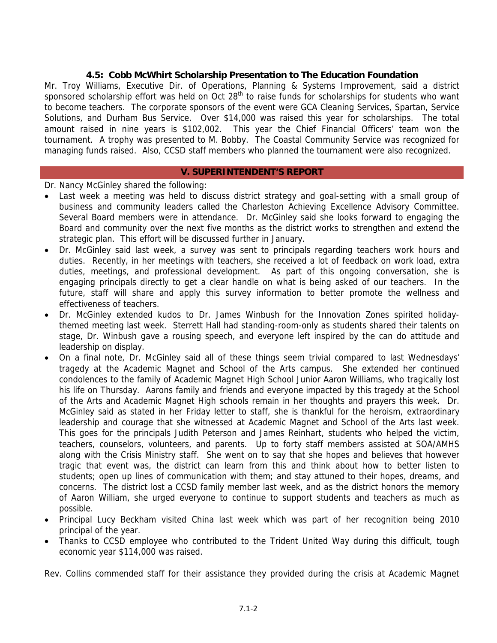## **4.5: Cobb McWhirt Scholarship Presentation to The Education Foundation**

Mr. Troy Williams, Executive Dir. of Operations, Planning & Systems Improvement, said a district sponsored scholarship effort was held on Oct  $28<sup>th</sup>$  to raise funds for scholarships for students who want to become teachers. The corporate sponsors of the event were GCA Cleaning Services, Spartan, Service Solutions, and Durham Bus Service. Over \$14,000 was raised this year for scholarships. The total amount raised in nine years is \$102,002. This year the Chief Financial Officers' team won the tournament. A trophy was presented to M. Bobby. The Coastal Community Service was recognized for managing funds raised. Also, CCSD staff members who planned the tournament were also recognized.

#### **V. SUPERINTENDENT'S REPORT**

#### Dr. Nancy McGinley shared the following:

- Last week a meeting was held to discuss district strategy and goal-setting with a small group of business and community leaders called the Charleston Achieving Excellence Advisory Committee. Several Board members were in attendance. Dr. McGinley said she looks forward to engaging the Board and community over the next five months as the district works to strengthen and extend the strategic plan. This effort will be discussed further in January.
- Dr. McGinley said last week, a survey was sent to principals regarding teachers work hours and duties. Recently, in her meetings with teachers, she received a lot of feedback on work load, extra duties, meetings, and professional development. As part of this ongoing conversation, she is engaging principals directly to get a clear handle on what is being asked of our teachers. In the future, staff will share and apply this survey information to better promote the wellness and effectiveness of teachers.
- Dr. McGinley extended kudos to Dr. James Winbush for the Innovation Zones spirited holidaythemed meeting last week. Sterrett Hall had standing-room-only as students shared their talents on stage, Dr. Winbush gave a rousing speech, and everyone left inspired by the can do attitude and leadership on display.
- On a final note, Dr. McGinley said all of these things seem trivial compared to last Wednesdays' tragedy at the Academic Magnet and School of the Arts campus. She extended her continued condolences to the family of Academic Magnet High School Junior Aaron Williams, who tragically lost his life on Thursday. Aarons family and friends and everyone impacted by this tragedy at the School of the Arts and Academic Magnet High schools remain in her thoughts and prayers this week. Dr. McGinley said as stated in her Friday letter to staff, she is thankful for the heroism, extraordinary leadership and courage that she witnessed at Academic Magnet and School of the Arts last week. This goes for the principals Judith Peterson and James Reinhart, students who helped the victim, teachers, counselors, volunteers, and parents. Up to forty staff members assisted at SOA/AMHS along with the Crisis Ministry staff. She went on to say that she hopes and believes that however tragic that event was, the district can learn from this and think about how to better listen to students; open up lines of communication with them; and stay attuned to their hopes, dreams, and concerns. The district lost a CCSD family member last week, and as the district honors the memory of Aaron William, she urged everyone to continue to support students and teachers as much as possible.
- Principal Lucy Beckham visited China last week which was part of her recognition being 2010 principal of the year.
- Thanks to CCSD employee who contributed to the Trident United Way during this difficult, tough economic year \$114,000 was raised.

Rev. Collins commended staff for their assistance they provided during the crisis at Academic Magnet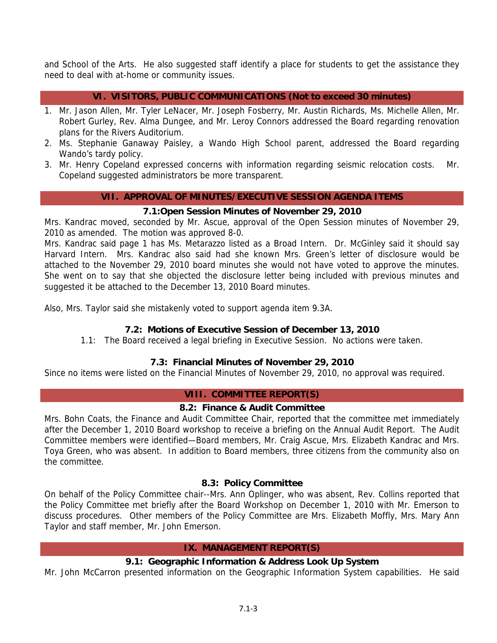and School of the Arts. He also suggested staff identify a place for students to get the assistance they need to deal with at-home or community issues.

## **VI. VISITORS, PUBLIC COMMUNICATIONS (Not to exceed 30 minutes)**

- 1. Mr. Jason Allen, Mr. Tyler LeNacer, Mr. Joseph Fosberry, Mr. Austin Richards, Ms. Michelle Allen, Mr. Robert Gurley, Rev. Alma Dungee, and Mr. Leroy Connors addressed the Board regarding renovation plans for the Rivers Auditorium.
- 2. Ms. Stephanie Ganaway Paisley, a Wando High School parent, addressed the Board regarding Wando's tardy policy.
- 3. Mr. Henry Copeland expressed concerns with information regarding seismic relocation costs. Mr. Copeland suggested administrators be more transparent.

#### **VII. APPROVAL OF MINUTES/EXECUTIVE SESSION AGENDA ITEMS**

#### **7.1:Open Session Minutes of November 29, 2010**

Mrs. Kandrac moved, seconded by Mr. Ascue, approval of the Open Session minutes of November 29, 2010 as amended. The motion was approved 8-0.

Mrs. Kandrac said page 1 has Ms. Metarazzo listed as a Broad Intern. Dr. McGinley said it should say Harvard Intern. Mrs. Kandrac also said had she known Mrs. Green's letter of disclosure would be attached to the November 29, 2010 board minutes she would not have voted to approve the minutes. She went on to say that she objected the disclosure letter being included with previous minutes and suggested it be attached to the December 13, 2010 Board minutes.

Also, Mrs. Taylor said she mistakenly voted to support agenda item 9.3A.

# **7.2: Motions of Executive Session of December 13, 2010**

1.1: The Board received a legal briefing in Executive Session. No actions were taken.

# **7.3: Financial Minutes of November 29, 2010**

Since no items were listed on the Financial Minutes of November 29, 2010, no approval was required.

#### **VIII. COMMITTEE REPORT(S)**

#### **8.2: Finance & Audit Committee**

Mrs. Bohn Coats, the Finance and Audit Committee Chair, reported that the committee met immediately after the December 1, 2010 Board workshop to receive a briefing on the Annual Audit Report. The Audit Committee members were identified—Board members, Mr. Craig Ascue, Mrs. Elizabeth Kandrac and Mrs. Toya Green, who was absent. In addition to Board members, three citizens from the community also on the committee.

#### **8.3: Policy Committee**

On behalf of the Policy Committee chair--Mrs. Ann Oplinger, who was absent, Rev. Collins reported that the Policy Committee met briefly after the Board Workshop on December 1, 2010 with Mr. Emerson to discuss procedures. Other members of the Policy Committee are Mrs. Elizabeth Moffly, Mrs. Mary Ann Taylor and staff member, Mr. John Emerson.

#### **IX. MANAGEMENT REPORT(S)**

# **9.1: Geographic Information & Address Look Up System**

Mr. John McCarron presented information on the Geographic Information System capabilities. He said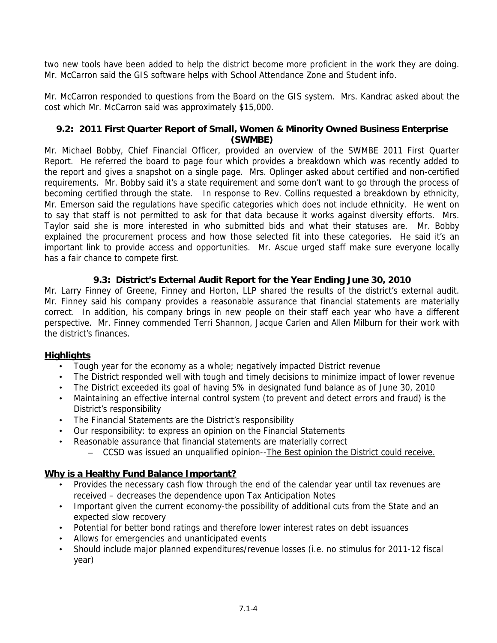two new tools have been added to help the district become more proficient in the work they are doing. Mr. McCarron said the GIS software helps with School Attendance Zone and Student info.

Mr. McCarron responded to questions from the Board on the GIS system. Mrs. Kandrac asked about the cost which Mr. McCarron said was approximately \$15,000.

## **9.2: 2011 First Quarter Report of Small, Women & Minority Owned Business Enterprise (SWMBE)**

Mr. Michael Bobby, Chief Financial Officer, provided an overview of the SWMBE 2011 First Quarter Report. He referred the board to page four which provides a breakdown which was recently added to the report and gives a snapshot on a single page. Mrs. Oplinger asked about certified and non-certified requirements. Mr. Bobby said it's a state requirement and some don't want to go through the process of becoming certified through the state. In response to Rev. Collins requested a breakdown by ethnicity, Mr. Emerson said the regulations have specific categories which does not include ethnicity. He went on to say that staff is not permitted to ask for that data because it works against diversity efforts. Mrs. Taylor said she is more interested in who submitted bids and what their statuses are. Mr. Bobby explained the procurement process and how those selected fit into these categories. He said it's an important link to provide access and opportunities. Mr. Ascue urged staff make sure everyone locally has a fair chance to compete first.

# **9.3: District's External Audit Report for the Year Ending June 30, 2010**

Mr. Larry Finney of Greene, Finney and Horton, LLP shared the results of the district's external audit. Mr. Finney said his company provides a reasonable assurance that financial statements are materially correct. In addition, his company brings in new people on their staff each year who have a different perspective. Mr. Finney commended Terri Shannon, Jacque Carlen and Allen Milburn for their work with the district's finances.

#### **Highlights**

- Tough year for the economy as a whole; negatively impacted District revenue
- The District responded well with tough and timely decisions to minimize impact of lower revenue
- The District exceeded its goal of having 5% in designated fund balance as of June 30, 2010
- Maintaining an effective internal control system (to prevent and detect errors and fraud) is the District's responsibility
- The Financial Statements are the District's responsibility
- Our responsibility: to express an opinion on the Financial Statements
- Reasonable assurance that financial statements are materially correct
	- CCSD was issued an unqualified opinion--The Best opinion the District could receive.

#### **Why is a Healthy Fund Balance Important?**

- Provides the necessary cash flow through the end of the calendar year until tax revenues are received – decreases the dependence upon Tax Anticipation Notes
- Important given the current economy-the possibility of additional cuts from the State and an expected slow recovery
- Potential for better bond ratings and therefore lower interest rates on debt issuances
- Allows for emergencies and unanticipated events
- Should include major planned expenditures/revenue losses (i.e. no stimulus for 2011-12 fiscal year)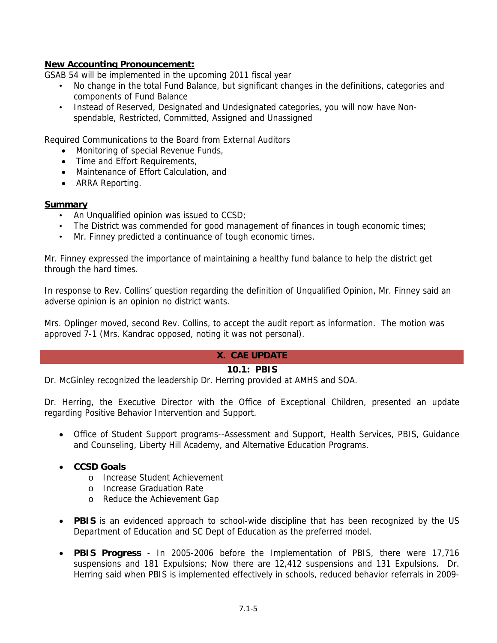## **New Accounting Pronouncement:**

GSAB 54 will be implemented in the upcoming 2011 fiscal year

- No change in the total Fund Balance, but significant changes in the definitions, categories and components of Fund Balance
- Instead of Reserved, Designated and Undesignated categories, you will now have Nonspendable, Restricted, Committed, Assigned and Unassigned

Required Communications to the Board from External Auditors

- Monitoring of special Revenue Funds,
- Time and Effort Requirements,
- Maintenance of Effort Calculation, and
- ARRA Reporting.

#### **Summary**

- An Unqualified opinion was issued to CCSD;
- The District was commended for good management of finances in tough economic times;
- Mr. Finney predicted a continuance of tough economic times.

Mr. Finney expressed the importance of maintaining a healthy fund balance to help the district get through the hard times.

In response to Rev. Collins' question regarding the definition of Unqualified Opinion, Mr. Finney said an adverse opinion is an opinion no district wants.

Mrs. Oplinger moved, second Rev. Collins, to accept the audit report as information. The motion was approved 7-1 (Mrs. Kandrac opposed, noting it was not personal).

# **X. CAE UPDATE**

#### **10.1: PBIS**

Dr. McGinley recognized the leadership Dr. Herring provided at AMHS and SOA.

Dr. Herring, the Executive Director with the Office of Exceptional Children, presented an update regarding Positive Behavior Intervention and Support.

• Office of Student Support programs--Assessment and Support, Health Services, PBIS, Guidance and Counseling, Liberty Hill Academy, and Alternative Education Programs.

#### • **CCSD Goals**

- o Increase Student Achievement
- o Increase Graduation Rate
- o Reduce the Achievement Gap
- **PBIS** is an evidenced approach to school-wide discipline that has been recognized by the US Department of Education and SC Dept of Education as the preferred model.
- **PBIS Progress** In 2005-2006 before the Implementation of PBIS, there were 17,716 suspensions and 181 Expulsions; Now there are 12,412 suspensions and 131 Expulsions. Dr. Herring said when PBIS is implemented effectively in schools, reduced behavior referrals in 2009-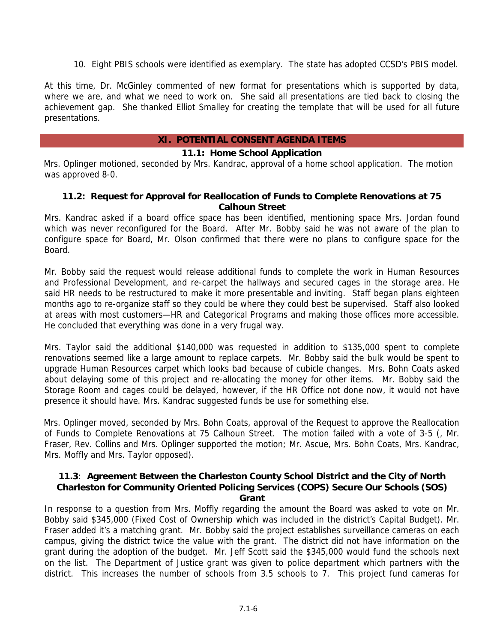10. Eight PBIS schools were identified as exemplary. The state has adopted CCSD's PBIS model.

At this time, Dr. McGinley commented of new format for presentations which is supported by data, where we are, and what we need to work on. She said all presentations are tied back to closing the achievement gap. She thanked Elliot Smalley for creating the template that will be used for all future presentations.

#### **XI. POTENTIAL CONSENT AGENDA ITEMS**

#### **11.1: Home School Application**

Mrs. Oplinger motioned, seconded by Mrs. Kandrac, approval of a home school application. The motion was approved 8-0.

#### **11.2: Request for Approval for Reallocation of Funds to Complete Renovations at 75 Calhoun Street**

Mrs. Kandrac asked if a board office space has been identified, mentioning space Mrs. Jordan found which was never reconfigured for the Board. After Mr. Bobby said he was not aware of the plan to configure space for Board, Mr. Olson confirmed that there were no plans to configure space for the Board.

Mr. Bobby said the request would release additional funds to complete the work in Human Resources and Professional Development, and re-carpet the hallways and secured cages in the storage area. He said HR needs to be restructured to make it more presentable and inviting. Staff began plans eighteen months ago to re-organize staff so they could be where they could best be supervised. Staff also looked at areas with most customers—HR and Categorical Programs and making those offices more accessible. He concluded that everything was done in a very frugal way.

Mrs. Taylor said the additional \$140,000 was requested in addition to \$135,000 spent to complete renovations seemed like a large amount to replace carpets. Mr. Bobby said the bulk would be spent to upgrade Human Resources carpet which looks bad because of cubicle changes. Mrs. Bohn Coats asked about delaying some of this project and re-allocating the money for other items. Mr. Bobby said the Storage Room and cages could be delayed, however, if the HR Office not done now, it would not have presence it should have. Mrs. Kandrac suggested funds be use for something else.

Mrs. Oplinger moved, seconded by Mrs. Bohn Coats, approval of the Request to approve the Reallocation of Funds to Complete Renovations at 75 Calhoun Street. The motion failed with a vote of 3-5 (, Mr. Fraser, Rev. Collins and Mrs. Oplinger supported the motion; Mr. Ascue, Mrs. Bohn Coats, Mrs. Kandrac, Mrs. Moffly and Mrs. Taylor opposed).

#### **11.3**: **Agreement Between the Charleston County School District and the City of North Charleston for Community Oriented Policing Services (COPS) Secure Our Schools (SOS) Grant**

In response to a question from Mrs. Moffly regarding the amount the Board was asked to vote on Mr. Bobby said \$345,000 (Fixed Cost of Ownership which was included in the district's Capital Budget). Mr. Fraser added it's a matching grant. Mr. Bobby said the project establishes surveillance cameras on each campus, giving the district twice the value with the grant. The district did not have information on the grant during the adoption of the budget. Mr. Jeff Scott said the \$345,000 would fund the schools next on the list. The Department of Justice grant was given to police department which partners with the district. This increases the number of schools from 3.5 schools to 7. This project fund cameras for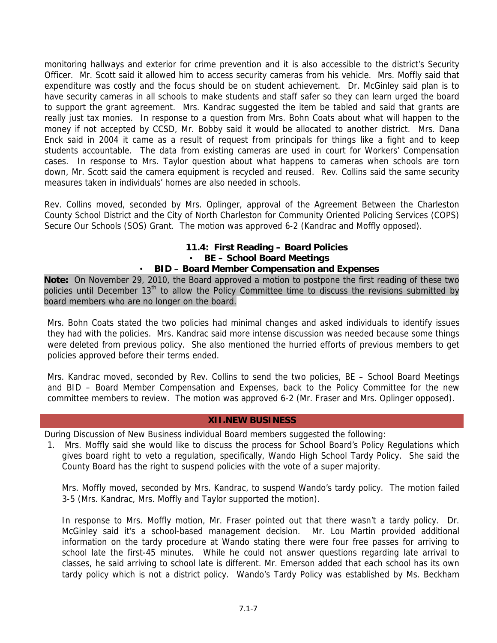monitoring hallways and exterior for crime prevention and it is also accessible to the district's Security Officer. Mr. Scott said it allowed him to access security cameras from his vehicle. Mrs. Moffly said that expenditure was costly and the focus should be on student achievement. Dr. McGinley said plan is to have security cameras in all schools to make students and staff safer so they can learn urged the board to support the grant agreement. Mrs. Kandrac suggested the item be tabled and said that grants are really just tax monies. In response to a question from Mrs. Bohn Coats about what will happen to the money if not accepted by CCSD, Mr. Bobby said it would be allocated to another district. Mrs. Dana Enck said in 2004 it came as a result of request from principals for things like a fight and to keep students accountable. The data from existing cameras are used in court for Workers' Compensation cases. In response to Mrs. Taylor question about what happens to cameras when schools are torn down, Mr. Scott said the camera equipment is recycled and reused. Rev. Collins said the same security measures taken in individuals' homes are also needed in schools.

Rev. Collins moved, seconded by Mrs. Oplinger, approval of the Agreement Between the Charleston County School District and the City of North Charleston for Community Oriented Policing Services (COPS) Secure Our Schools (SOS) Grant. The motion was approved 6-2 (Kandrac and Moffly opposed).

# **11.4: First Reading – Board Policies** • **BE – School Board Meetings**

## • **BID – Board Member Compensation and Expenses**

**Note:** On November 29, 2010, the Board approved a motion to postpone the first reading of these two policies until December 13<sup>th</sup> to allow the Policy Committee time to discuss the revisions submitted by board members who are no longer on the board.

Mrs. Bohn Coats stated the two policies had minimal changes and asked individuals to identify issues they had with the policies. Mrs. Kandrac said more intense discussion was needed because some things were deleted from previous policy. She also mentioned the hurried efforts of previous members to get policies approved before their terms ended.

Mrs. Kandrac moved, seconded by Rev. Collins to send the two policies, BE – School Board Meetings and BID – Board Member Compensation and Expenses, back to the Policy Committee for the new committee members to review. The motion was approved 6-2 (Mr. Fraser and Mrs. Oplinger opposed).

#### **XII.NEW BUSINESS**

During Discussion of New Business individual Board members suggested the following:

1. Mrs. Moffly said she would like to discuss the process for School Board's Policy Regulations which gives board right to veto a regulation, specifically, Wando High School Tardy Policy. She said the County Board has the right to suspend policies with the vote of a super majority.

Mrs. Moffly moved, seconded by Mrs. Kandrac, to suspend Wando's tardy policy. The motion failed 3-5 (Mrs. Kandrac, Mrs. Moffly and Taylor supported the motion).

In response to Mrs. Moffly motion, Mr. Fraser pointed out that there wasn't a tardy policy. Dr. McGinley said it's a school-based management decision. Mr. Lou Martin provided additional information on the tardy procedure at Wando stating there were four free passes for arriving to school late the first-45 minutes. While he could not answer questions regarding late arrival to classes, he said arriving to school late is different. Mr. Emerson added that each school has its own tardy policy which is not a district policy. Wando's Tardy Policy was established by Ms. Beckham